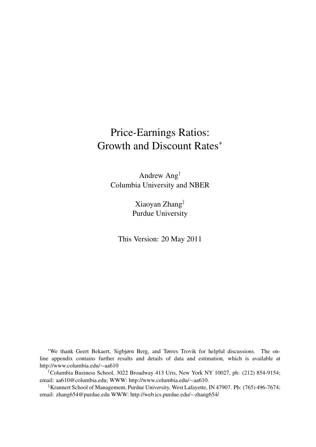# Price-Earnings Ratios: Growth and Discount Rates*<sup>∗</sup>*

Andrew Ang*†* Columbia University and NBER

> Xiaoyan Zhang*‡* Purdue University

This Version: 20 May 2011

*∗*We thank Geert Bekaert, Sigbjørn Berg, and Tørres Trovik for helpful discussions. The online appendix contains further results and details of data and estimation, which is available at http://www.columbia.edu/*∼*aa610

*†*Columbia Business School, 3022 Broadway 413 Uris, New York NY 10027, ph: (212) 854-9154; email: aa610@columbia.edu; WWW: http://www.columbia.edu/*∼*aa610.

*‡*Krannert School of Management, Purdue University, West Lafayette, IN 47907. Ph: (765) 496-7674; email: zhang654@purdue.edu WWW: http://web.ics.purdue.edu/*∼*zhang654/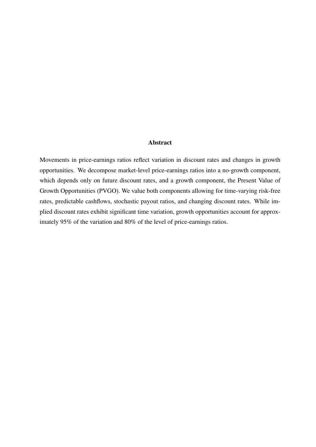#### Abstract

Movements in price-earnings ratios reflect variation in discount rates and changes in growth opportunities. We decompose market-level price-earnings ratios into a no-growth component, which depends only on future discount rates, and a growth component, the Present Value of Growth Opportunities (PVGO). We value both components allowing for time-varying risk-free rates, predictable cashflows, stochastic payout ratios, and changing discount rates. While implied discount rates exhibit significant time variation, growth opportunities account for approximately 95% of the variation and 80% of the level of price-earnings ratios.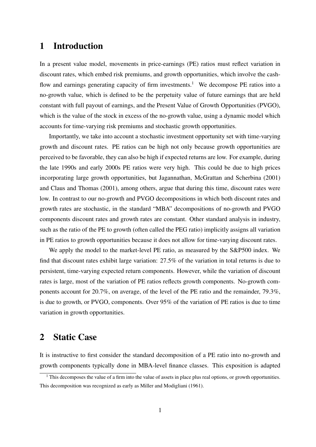### 1 Introduction

In a present value model, movements in price-earnings (PE) ratios must reflect variation in discount rates, which embed risk premiums, and growth opportunities, which involve the cashflow and earnings generating capacity of firm investments.<sup>1</sup> We decompose PE ratios into a no-growth value, which is defined to be the perpetuity value of future earnings that are held constant with full payout of earnings, and the Present Value of Growth Opportunities (PVGO), which is the value of the stock in excess of the no-growth value, using a dynamic model which accounts for time-varying risk premiums and stochastic growth opportunities.

Importantly, we take into account a stochastic investment opportunity set with time-varying growth and discount rates. PE ratios can be high not only because growth opportunities are perceived to be favorable, they can also be high if expected returns are low. For example, during the late 1990s and early 2000s PE ratios were very high. This could be due to high prices incorporating large growth opportunities, but Jagannathan, McGrattan and Scherbina (2001) and Claus and Thomas (2001), among others, argue that during this time, discount rates were low. In contrast to our no-growth and PVGO decompositions in which both discount rates and growth rates are stochastic, in the standard "MBA" decompositions of no-growth and PVGO components discount rates and growth rates are constant. Other standard analysis in industry, such as the ratio of the PE to growth (often called the PEG ratio) implicitly assigns all variation in PE ratios to growth opportunities because it does not allow for time-varying discount rates.

We apply the model to the market-level PE ratio, as measured by the S&P500 index. We find that discount rates exhibit large variation: 27.5% of the variation in total returns is due to persistent, time-varying expected return components. However, while the variation of discount rates is large, most of the variation of PE ratios reflects growth components. No-growth components account for 20.7%, on average, of the level of the PE ratio and the remainder, 79.3%, is due to growth, or PVGO, components. Over 95% of the variation of PE ratios is due to time variation in growth opportunities.

## 2 Static Case

It is instructive to first consider the standard decomposition of a PE ratio into no-growth and growth components typically done in MBA-level finance classes. This exposition is adapted

<sup>&</sup>lt;sup>1</sup> This decomposes the value of a firm into the value of assets in place plus real options, or growth opportunities. This decomposition was recognized as early as Miller and Modigliani (1961).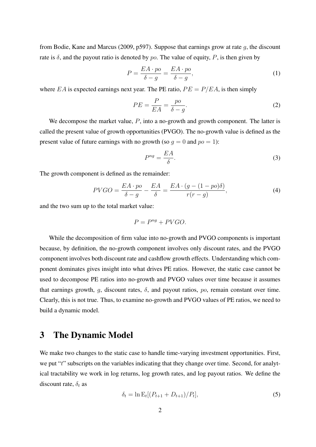from Bodie, Kane and Marcus (2009, p597). Suppose that earnings grow at rate *g*, the discount rate is  $\delta$ , and the payout ratio is denoted by *po*. The value of equity, *P*, is then given by

$$
P = \frac{EA \cdot po}{\delta - g} = \frac{EA \cdot po}{\delta - g},\tag{1}
$$

where *EA* is expected earnings next year. The PE ratio,  $PE = P/EA$ , is then simply

$$
PE = \frac{P}{EA} = \frac{po}{\delta - g}.
$$
\n(2)

We decompose the market value, *P*, into a no-growth and growth component. The latter is called the present value of growth opportunities (PVGO). The no-growth value is defined as the present value of future earnings with no growth (so  $q = 0$  and  $po = 1$ ):

$$
P^{ng} = \frac{EA}{\delta}.\tag{3}
$$

The growth component is defined as the remainder:

$$
PVGO = \frac{EA \cdot po}{\delta - g} - \frac{EA}{\delta} = \frac{EA \cdot (g - (1 - po)\delta)}{r(r - g)},\tag{4}
$$

and the two sum up to the total market value:

$$
P = P^{ng} + PVGO.
$$

While the decomposition of firm value into no-growth and PVGO components is important because, by definition, the no-growth component involves only discount rates, and the PVGO component involves both discount rate and cashflow growth effects. Understanding which component dominates gives insight into what drives PE ratios. However, the static case cannot be used to decompose PE ratios into no-growth and PVGO values over time because it assumes that earnings growth,  $q$ , discount rates,  $\delta$ , and payout ratios,  $p_0$ , remain constant over time. Clearly, this is not true. Thus, to examine no-growth and PVGO values of PE ratios, we need to build a dynamic model.

## 3 The Dynamic Model

We make two changes to the static case to handle time-varying investment opportunities. First, we put "*t*" subscripts on the variables indicating that they change over time. Second, for analytical tractability we work in log returns, log growth rates, and log payout ratios. We define the discount rate,  $\delta_t$  as

$$
\delta_t = \ln \mathcal{E}_t[(P_{t+1} + D_{t+1})/P_t],\tag{5}
$$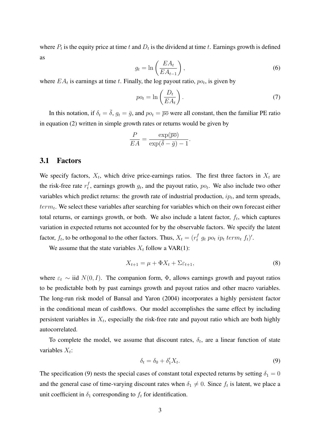where  $P_t$  is the equity price at time  $t$  and  $D_t$  is the dividend at time  $t$ . Earnings growth is defined as

$$
g_t = \ln\left(\frac{EA_t}{EA_{t-1}}\right),\tag{6}
$$

where  $EA_t$  is earnings at time *t*. Finally, the log payout ratio,  $po_t$ , is given by

$$
po_t = \ln\left(\frac{D_t}{EA_t}\right). \tag{7}
$$

In this notation, if  $\delta_t = \bar{\delta}$ ,  $g_t = \bar{g}$ , and  $po_t = \bar{po}$  were all constant, then the familiar PE ratio in equation (2) written in simple growth rates or returns would be given by

$$
\frac{P}{EA} = \frac{\exp(\overline{po})}{\exp(\overline{\delta} - \overline{g}) - 1}.
$$

#### 3.1 Factors

We specify factors,  $X_t$ , which drive price-earnings ratios. The first three factors in  $X_t$  are the risk-free rate  $r_t^f$  $t_t$ , earnings growth  $g_t$ , and the payout ratio,  $p_{0t}$ . We also include two other variables which predict returns: the growth rate of industrial production, *ip<sup>t</sup>* , and term spreads, *term<sup>t</sup>* . We select these variables after searching for variables which on their own forecast either total returns, or earnings growth, or both. We also include a latent factor, *f<sup>t</sup>* , which captures variation in expected returns not accounted for by the observable factors. We specify the latent factor,  $f_t$ , to be orthogonal to the other factors. Thus,  $X_t = (r_t^f \ g_t \ po_t \ ip_t \ term_t \ f_t)'$ .

We assume that the state variables  $X_t$  follow a VAR(1):

$$
X_{t+1} = \mu + \Phi X_t + \Sigma \varepsilon_{t+1},\tag{8}
$$

where  $\varepsilon_t \sim$  iid  $N(0, I)$ . The companion form,  $\Phi$ , allows earnings growth and payout ratios to be predictable both by past earnings growth and payout ratios and other macro variables. The long-run risk model of Bansal and Yaron (2004) incorporates a highly persistent factor in the conditional mean of cashflows. Our model accomplishes the same effect by including persistent variables in *X<sup>t</sup>* , especially the risk-free rate and payout ratio which are both highly autocorrelated.

To complete the model, we assume that discount rates,  $\delta_t$ , are a linear function of state variables *X<sup>t</sup>* :

$$
\delta_t = \delta_0 + \delta'_1 X_t. \tag{9}
$$

The specification (9) nests the special cases of constant total expected returns by setting  $\delta_1 = 0$ and the general case of time-varying discount rates when  $\delta_1 \neq 0$ . Since  $f_t$  is latent, we place a unit coefficient in  $\delta_1$  corresponding to  $f_t$  for identification.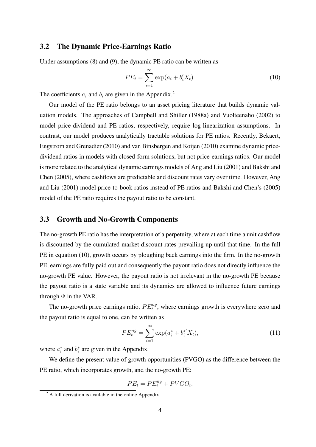### 3.2 The Dynamic Price-Earnings Ratio

Under assumptions (8) and (9), the dynamic PE ratio can be written as

$$
PE_t = \sum_{i=1}^{\infty} \exp(a_i + b'_i X_t).
$$
 (10)

The coefficients  $a_i$  and  $b_i$  are given in the Appendix.<sup>2</sup>

Our model of the PE ratio belongs to an asset pricing literature that builds dynamic valuation models. The approaches of Campbell and Shiller (1988a) and Vuolteenaho (2002) to model price-dividend and PE ratios, respectively, require log-linearization assumptions. In contrast, our model produces analytically tractable solutions for PE ratios. Recently, Bekaert, Engstrom and Grenadier (2010) and van Binsbergen and Koijen (2010) examine dynamic pricedividend ratios in models with closed-form solutions, but not price-earnings ratios. Our model is more related to the analytical dynamic earnings models of Ang and Liu (2001) and Bakshi and Chen (2005), where cashflows are predictable and discount rates vary over time. However, Ang and Liu (2001) model price-to-book ratios instead of PE ratios and Bakshi and Chen's (2005) model of the PE ratio requires the payout ratio to be constant.

### 3.3 Growth and No-Growth Components

The no-growth PE ratio has the interpretation of a perpetuity, where at each time a unit cashflow is discounted by the cumulated market discount rates prevailing up until that time. In the full PE in equation (10), growth occurs by ploughing back earnings into the firm. In the no-growth PE, earnings are fully paid out and consequently the payout ratio does not directly influence the no-growth PE value. However, the payout ratio is not irrelevant in the no-growth PE because the payout ratio is a state variable and its dynamics are allowed to influence future earnings through  $\Phi$  in the VAR.

The no-growth price earnings ratio,  $PE_t^{ng}$ , where earnings growth is everywhere zero and the payout ratio is equal to one, can be written as

$$
PE_t^{ng} = \sum_{i=1}^{\infty} \exp(a_i^* + b_i^{*'} X_t), \tag{11}
$$

where  $a_i^*$  and  $b_i^*$  are given in the Appendix.

We define the present value of growth opportunities (PVGO) as the difference between the PE ratio, which incorporates growth, and the no-growth PE:

$$
PE_t = PE_t^{ng} + PVGO_t.
$$

 $^{2}$  A full derivation is available in the online Appendix.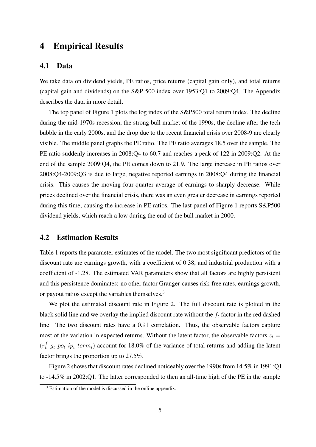## 4 Empirical Results

#### 4.1 Data

We take data on dividend yields, PE ratios, price returns (capital gain only), and total returns (capital gain and dividends) on the S&P 500 index over 1953:Q1 to 2009:Q4. The Appendix describes the data in more detail.

The top panel of Figure 1 plots the log index of the S&P500 total return index. The decline during the mid-1970s recession, the strong bull market of the 1990s, the decline after the tech bubble in the early 2000s, and the drop due to the recent financial crisis over 2008-9 are clearly visible. The middle panel graphs the PE ratio. The PE ratio averages 18.5 over the sample. The PE ratio suddenly increases in 2008:Q4 to 60.7 and reaches a peak of 122 in 2009:Q2. At the end of the sample 2009:Q4, the PE comes down to 21.9. The large increase in PE ratios over 2008:Q4-2009:Q3 is due to large, negative reported earnings in 2008:Q4 during the financial crisis. This causes the moving four-quarter average of earnings to sharply decrease. While prices declined over the financial crisis, there was an even greater decrease in earnings reported during this time, causing the increase in PE ratios. The last panel of Figure 1 reports S&P500 dividend yields, which reach a low during the end of the bull market in 2000.

### 4.2 Estimation Results

Table 1 reports the parameter estimates of the model. The two most significant predictors of the discount rate are earnings growth, with a coefficient of 0.38, and industrial production with a coefficient of -1.28. The estimated VAR parameters show that all factors are highly persistent and this persistence dominates: no other factor Granger-causes risk-free rates, earnings growth, or payout ratios except the variables themselves.<sup>3</sup>

We plot the estimated discount rate in Figure 2. The full discount rate is plotted in the black solid line and we overlay the implied discount rate without the *f<sup>t</sup>* factor in the red dashed line. The two discount rates have a 0.91 correlation. Thus, the observable factors capture most of the variation in expected returns. Without the latent factor, the observable factors  $z_t$  =  $(r_t^f g_t p_{0t}$  *ip<sub>t</sub> term<sub>t</sub>*) account for 18.0% of the variance of total returns and adding the latent factor brings the proportion up to 27.5%.

Figure 2 shows that discount rates declined noticeably over the 1990s from 14.5% in 1991:Q1 to -14.5% in 2002:Q1. The latter corresponded to then an all-time high of the PE in the sample

<sup>&</sup>lt;sup>3</sup> Estimation of the model is discussed in the online appendix.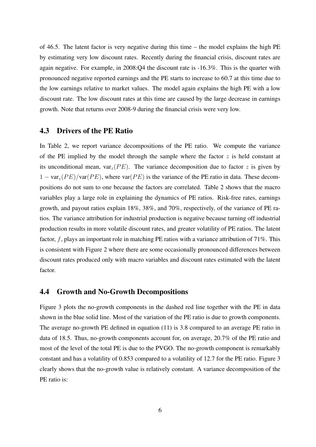of 46.5. The latent factor is very negative during this time – the model explains the high PE by estimating very low discount rates. Recently during the financial crisis, discount rates are again negative. For example, in 2008:Q4 the discount rate is -16.3%. This is the quarter with pronounced negative reported earnings and the PE starts to increase to 60.7 at this time due to the low earnings relative to market values. The model again explains the high PE with a low discount rate. The low discount rates at this time are caused by the large decrease in earnings growth. Note that returns over 2008-9 during the financial crisis were very low.

### 4.3 Drivers of the PE Ratio

In Table 2, we report variance decompositions of the PE ratio. We compute the variance of the PE implied by the model through the sample where the factor  $z$  is held constant at its unconditional mean,  $var_z(PE)$ . The variance decomposition due to factor *z* is given by 1 *−* var*z*(*P E*)*/*var(*P E*), where var(*P E*) is the variance of the PE ratio in data. These decompositions do not sum to one because the factors are correlated. Table 2 shows that the macro variables play a large role in explaining the dynamics of PE ratios. Risk-free rates, earnings growth, and payout ratios explain 18%, 38%, and 70%, respectively, of the variance of PE ratios. The variance attribution for industrial production is negative because turning off industrial production results in more volatile discount rates, and greater volatility of PE ratios. The latent factor, f, plays an important role in matching PE ratios with a variance attribution of 71%. This is consistent with Figure 2 where there are some occasionally pronounced differences between discount rates produced only with macro variables and discount rates estimated with the latent factor.

#### 4.4 Growth and No-Growth Decompositions

Figure 3 plots the no-growth components in the dashed red line together with the PE in data shown in the blue solid line. Most of the variation of the PE ratio is due to growth components. The average no-growth PE defined in equation (11) is 3.8 compared to an average PE ratio in data of 18.5. Thus, no-growth components account for, on average, 20.7% of the PE ratio and most of the level of the total PE is due to the PVGO. The no-growth component is remarkably constant and has a volatility of 0.853 compared to a volatility of 12.7 for the PE ratio. Figure 3 clearly shows that the no-growth value is relatively constant. A variance decomposition of the PE ratio is: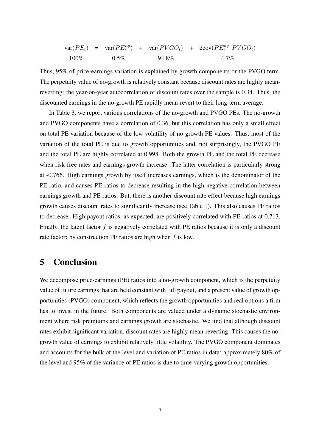$$
var(PE_t) = var(PE_t^{ng}) + var(PVGO_t) + 2cov(PE_t^{ng}, PVGO_t)
$$
  
100% 0.5% 94.8% 4.7%

Thus, 95% of price-earnings variation is explained by growth components or the PVGO term. The perpetuity value of no-growth is relatively constant because discount rates are highly meanreverting: the year-on-year autocorrelation of discount rates over the sample is 0.34. Thus, the discounted earnings in the no-growth PE rapidly mean-revert to their long-term average.

In Table 3, we report various correlations of the no-growth and PVGO PEs. The no-growth and PVGO components have a correlation of 0.36, but this correlation has only a small effect on total PE variation because of the low volatility of no-growth PE values. Thus, most of the variation of the total PE is due to growth opportunities and, not surprisingly, the PVGO PE and the total PE are highly correlated at 0.998. Both the growth PE and the total PE decrease when risk-free rates and earnings growth increase. The latter correlation is particularly strong at -0.766. High earnings growth by itself increases earnings, which is the denominator of the PE ratio, and causes PE ratios to decrease resulting in the high negative correlation between earnings growth and PE ratios. But, there is another discount rate effect because high earnings growth causes discount rates to significantly increase (see Table 1). This also causes PE ratios to decrease. High payout ratios, as expected, are positively correlated with PE ratios at 0.713. Finally, the latent factor *f* is negatively correlated with PE ratios because it is only a discount rate factor: by construction PE ratios are high when *f* is low.

# 5 Conclusion

We decompose price-earnings (PE) ratios into a no-growth component, which is the perpetuity value of future earnings that are held constant with full payout, and a present value of growth opportunities (PVGO) component, which reflects the growth opportunities and real options a firm has to invest in the future. Both components are valued under a dynamic stochastic environment where risk premiums and earnings growth are stochastic. We find that although discount rates exhibit significant variation, discount rates are highly mean-reverting. This causes the nogrowth value of earnings to exhibit relatively little volatility. The PVGO component dominates and accounts for the bulk of the level and variation of PE ratios in data: approximately 80% of the level and 95% of the variance of PE ratios is due to time-varying growth opportunities.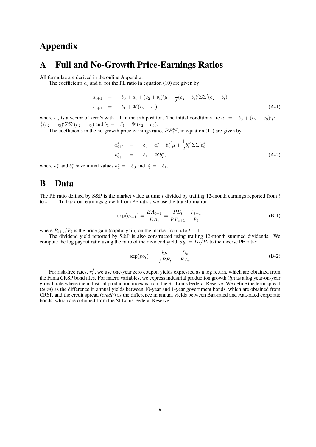# Appendix

### A Full and No-Growth Price-Earnings Ratios

All formulae are derived in the online Appendix.

The coefficients  $a_i$  and  $b_i$  for the PE ratio in equation (10) are given by

$$
a_{i+1} = -\delta_0 + a_i + (e_2 + b_i)' \mu + \frac{1}{2} (e_2 + b_i)' \Sigma \Sigma' (e_2 + b_i)
$$
  
\n
$$
b_{i+1} = -\delta_1 + \Phi'(e_2 + b_i), \qquad (A-1)
$$

where  $e_n$  is a vector of zero's with a 1 in the *n*th position. The initial conditions are  $a_1 = -\delta_0 + (e_2 + e_3)' \mu +$  $\frac{1}{2}(e_2 + e_3)'\Sigma\Sigma'(e_2 + e_3)$  and  $b_1 = -\delta_1 + \Phi'(e_2 + e_3)$ .

The coefficients in the no-growth price-earnings ratio,  $PE_t^{ng}$ , in equation (11) are given by

$$
a_{i+1}^* = -\delta_0 + a_i^* + b_i^{*'} \mu + \frac{1}{2} b_i^{*'} \Sigma \Sigma' b_i^*
$$
  
\n
$$
b_{i+1}^* = -\delta_1 + \Phi' b_i^*,
$$
 (A-2)

where  $a_i^*$  and  $b_i^*$  have initial values  $a_1^* = -\delta_0$  and  $b_1^* = -\delta_1$ .

### B Data

The PE ratio defined by S&P is the market value at time *t* divided by trailing 12-month earnings reported from *t* to  $t - 1$ . To back out earnings growth from PE ratios we use the transformation:

$$
\exp(g_{t+1}) = \frac{EA_{t+1}}{EA_t} = \frac{PE_t}{PE_{t+1}} \cdot \frac{P_{t+1}}{P_t},\tag{B-1}
$$

where  $P_{t+1}/P_t$  is the price gain (capital gain) on the market from *t* to  $t+1$ .

The dividend yield reported by S&P is also constructed using trailing 12-month summed dividends. We compute the log payout ratio using the ratio of the dividend yield,  $d\dot{y}_t = D_t/P_t$  to the inverse PE ratio:

$$
\exp(po_t) = \frac{dy_t}{1/PE_t} = \frac{D_t}{EA_t}
$$
\n(B-2)

For risk-free rates,  $r_t^f$ , we use one-year zero coupon yields expressed as a log return, which are obtained from the Fama CRSP bond files. For macro variables, we express industrial production growth (*ip*) as a log year-on-year growth rate where the industrial production index is from the St. Louis Federal Reserve. We define the term spread (*term*) as the difference in annual yields between 10-year and 1-year government bonds, which are obtained from CRSP, and the credit spread (*credit*) as the difference in annual yields between Baa-rated and Aaa-rated corporate bonds, which are obtained from the St Louis Federal Reserve.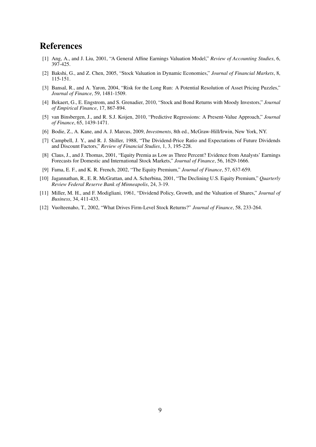# References

- [1] Ang, A., and J. Liu, 2001, "A General Affine Earnings Valuation Model," *Review of Accounting Studies*, 6, 397-425.
- [2] Bakshi, G., and Z. Chen, 2005, "Stock Valuation in Dynamic Economies," *Journal of Financial Markets*, 8, 115-151.
- [3] Bansal, R., and A. Yaron, 2004, "Risk for the Long Run: A Potential Resolution of Asset Pricing Puzzles," *Journal of Finance*, 59, 1481-1509.
- [4] Bekaert, G., E. Engstrom, and S. Grenadier, 2010, "Stock and Bond Returns with Moody Investors," *Journal of Empirical Finance*, 17, 867-894.
- [5] van Binsbergen, J., and R. S.J. Koijen, 2010, "Predictive Regressions: A Present-Value Approach," *Journal of Finance*, 65, 1439-1471.
- [6] Bodie, Z., A. Kane, and A. J. Marcus, 2009, *Investments*, 8th ed., McGraw-Hill/Irwin, New York, NY.
- [7] Campbell, J. Y., and R. J. Shiller, 1988, "The Dividend-Price Ratio and Expectations of Future Dividends and Discount Factors," *Review of Financial Studies*, 1, 3, 195-228.
- [8] Claus, J., and J. Thomas, 2001, "Equity Premia as Low as Three Percent? Evidence from Analysts' Earnings Forecasts for Domestic and International Stock Markets," *Journal of Finance*, 56, 1629-1666.
- [9] Fama, E. F., and K. R. French, 2002, "The Equity Premium," *Journal of Finance*, 57, 637-659.
- [10] Jagannathan, R., E. R. McGrattan, and A. Scherbina, 2001, "The Declining U.S. Equity Premium," *Quarterly Review Federal Reserve Bank of Minneapolis*, 24, 3-19.
- [11] Miller, M. H., and F. Modigliani, 1961, "Dividend Policy, Growth, and the Valuation of Shares," *Journal of Business*, 34, 411-433.
- [12] Vuolteenaho, T., 2002, "What Drives Firm-Level Stock Returns?" *Journal of Finance*, 58, 233-264.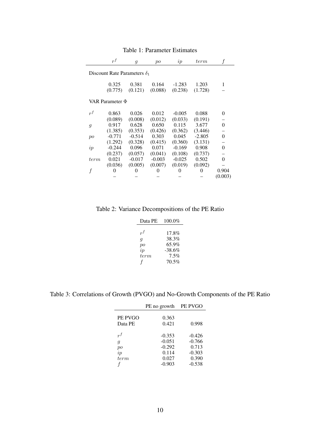|                                     | $r^{f}$  | $\mathfrak{g}$ | po       | ip                | term     |          |  |  |
|-------------------------------------|----------|----------------|----------|-------------------|----------|----------|--|--|
| Discount Rate Parameters $\delta_1$ |          |                |          |                   |          |          |  |  |
|                                     | 0.325    | 0.381          | 0.164    | $-1.283$          | 1.203    | 1        |  |  |
|                                     | (0.775)  | (0.121)        | (0.088)  | (0.238)           | (1.728)  |          |  |  |
| VAR Parameter $\Phi$                |          |                |          |                   |          |          |  |  |
| $r^{f}$                             | 0.863    | 0.026          | 0.012    | $-0.005$          | 0.088    | $\Omega$ |  |  |
|                                     | (0.089)  | (0.008)        | (0.012)  | (0.033)           | (0.191)  |          |  |  |
| $\mathfrak{g}$                      | 0.917    | 0.628          | 0.650    | 0.115             | 3.677    | 0        |  |  |
|                                     | (1.385)  | (0.353)        | (0.426)  | (0.362)           | (3.446)  |          |  |  |
| po                                  | $-0.771$ | $-0.514$       | 0.303    | 0.045             | $-2.805$ | $\Omega$ |  |  |
|                                     | (1.292)  | (0.328)        | (0.415)  | (0.360)           | (3.131)  |          |  |  |
| ip                                  | $-0.244$ | 0.096          | 0.071    | $-0.169$          | 0.908    | 0        |  |  |
|                                     | (0.237)  | (0.057)        | (0.041)  | (0.108)           | (0.737)  |          |  |  |
| term                                | 0.021    | $-0.017$       | $-0.003$ | $-0.025$          | 0.502    | 0        |  |  |
|                                     | (0.036)  | (0.005)        | (0.007)  | (0.019)           | (0.092)  |          |  |  |
| f                                   |          |                |          | $\mathbf{\Omega}$ | $\Omega$ | 0.904    |  |  |
|                                     |          |                |          |                   |          | (0.003)  |  |  |

Table 1: Parameter Estimates

Table 2: Variance Decompositions of the PE Ratio

| Data PE | 100.0%   |
|---------|----------|
|         |          |
| $r^f$   | $17.8\%$ |
| q       | 38.3%    |
| po      | 65.9%    |
| ip      | -38.6%   |
| term    | 7.5%     |
|         | 70.5%    |

Table 3: Correlations of Growth (PVGO) and No-Growth Components of the PE Ratio

|                                             | PE no growth                                                   | PE PVGO                                                        |  |
|---------------------------------------------|----------------------------------------------------------------|----------------------------------------------------------------|--|
| PE PVGO<br>Data PE                          | 0.363<br>0.421                                                 | 0.998                                                          |  |
| $r^f$<br>$\mathfrak{g}$<br>po<br>ip<br>term | $-0.353$<br>$-0.051$<br>$-0.292$<br>0.114<br>0.027<br>$-0.903$ | $-0.426$<br>$-0.766$<br>0.713<br>$-0.303$<br>0.390<br>$-0.538$ |  |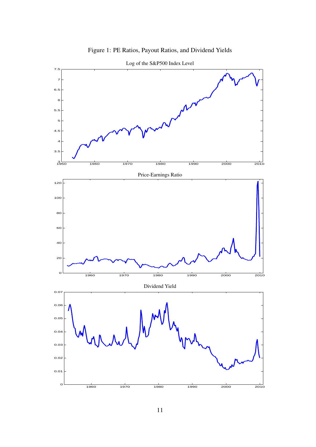

Figure 1: PE Ratios, Payout Ratios, and Dividend Yields